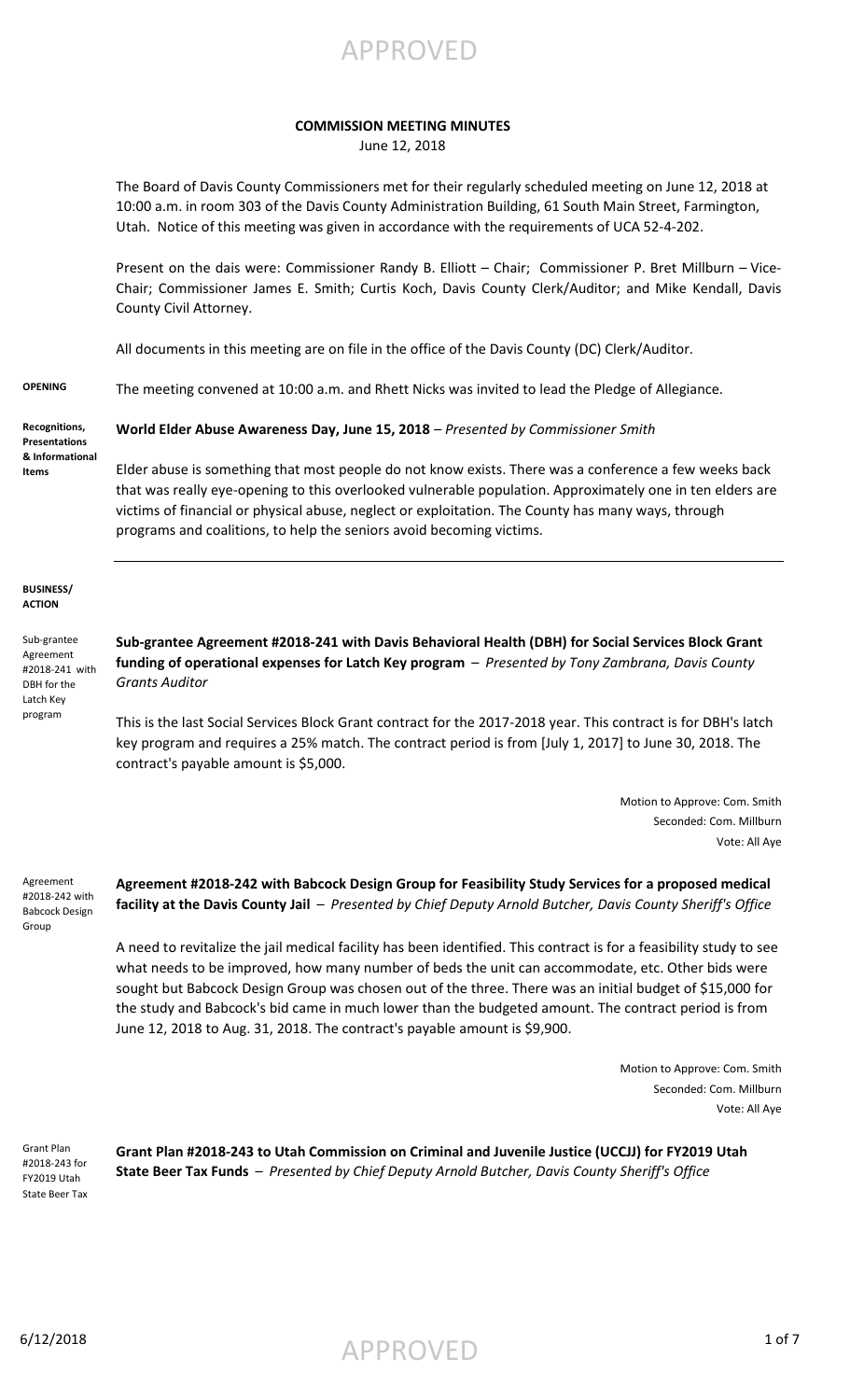

## **COMMISSION MEETING MINUTES**

June 12, 2018

The Board of Davis County Commissioners met for their regularly scheduled meeting on June 12, 2018 at 10:00 a.m. in room 303 of the Davis County Administration Building, 61 South Main Street, Farmington, Utah. Notice of this meeting was given in accordance with the requirements of UCA 52-4-202.

Present on the dais were: Commissioner Randy B. Elliott – Chair; Commissioner P. Bret Millburn – Vice-Chair; Commissioner James E. Smith; Curtis Koch, Davis County Clerk/Auditor; and Mike Kendall, Davis County Civil Attorney.

All documents in this meeting are on file in the office of the Davis County (DC) Clerk/Auditor.

**OPENING** The meeting convened at 10:00 a.m. and Rhett Nicks was invited to lead the Pledge of Allegiance.

**Recognitions, Presentations & Informational Items**

**World Elder Abuse Awareness Day, June 15, 2018** *– Presented by Commissioner Smith*

Elder abuse is something that most people do not know exists. There was a conference a few weeks back that was really eye-opening to this overlooked vulnerable population. Approximately one in ten elders are victims of financial or physical abuse, neglect or exploitation. The County has many ways, through programs and coalitions, to help the seniors avoid becoming victims.

**BUSINESS/ ACTION**

Sub-grantee Agreement #2018-241 with DBH for the Latch Key program

**Sub-grantee Agreement #2018-241 with Davis Behavioral Health (DBH) for Social Services Block Grant funding of operational expenses for Latch Key program** – *Presented by Tony Zambrana, Davis County Grants Auditor*

This is the last Social Services Block Grant contract for the 2017-2018 year. This contract is for DBH's latch key program and requires a 25% match. The contract period is from [July 1, 2017] to June 30, 2018. The contract's payable amount is \$5,000.

> Motion to Approve: Com. Smith Seconded: Com. Millburn Vote: All Aye

Agreement #2018-242 with Babcock Design Group

**Agreement #2018-242 with Babcock Design Group for Feasibility Study Services for a proposed medical facility at the Davis County Jail** – *Presented by Chief Deputy Arnold Butcher, Davis County Sheriff's Office*

A need to revitalize the jail medical facility has been identified. This contract is for a feasibility study to see what needs to be improved, how many number of beds the unit can accommodate, etc. Other bids were sought but Babcock Design Group was chosen out of the three. There was an initial budget of \$15,000 for the study and Babcock's bid came in much lower than the budgeted amount. The contract period is from June 12, 2018 to Aug. 31, 2018. The contract's payable amount is \$9,900.

> Motion to Approve: Com. Smith Seconded: Com. Millburn Vote: All Aye

Grant Plan #2018-243 for FY2019 Utah State Beer Tax **Grant Plan #2018-243 to Utah Commission on Criminal and Juvenile Justice (UCCJJ) for FY2019 Utah State Beer Tax Funds** – *Presented by Chief Deputy Arnold Butcher, Davis County Sheriff's Office*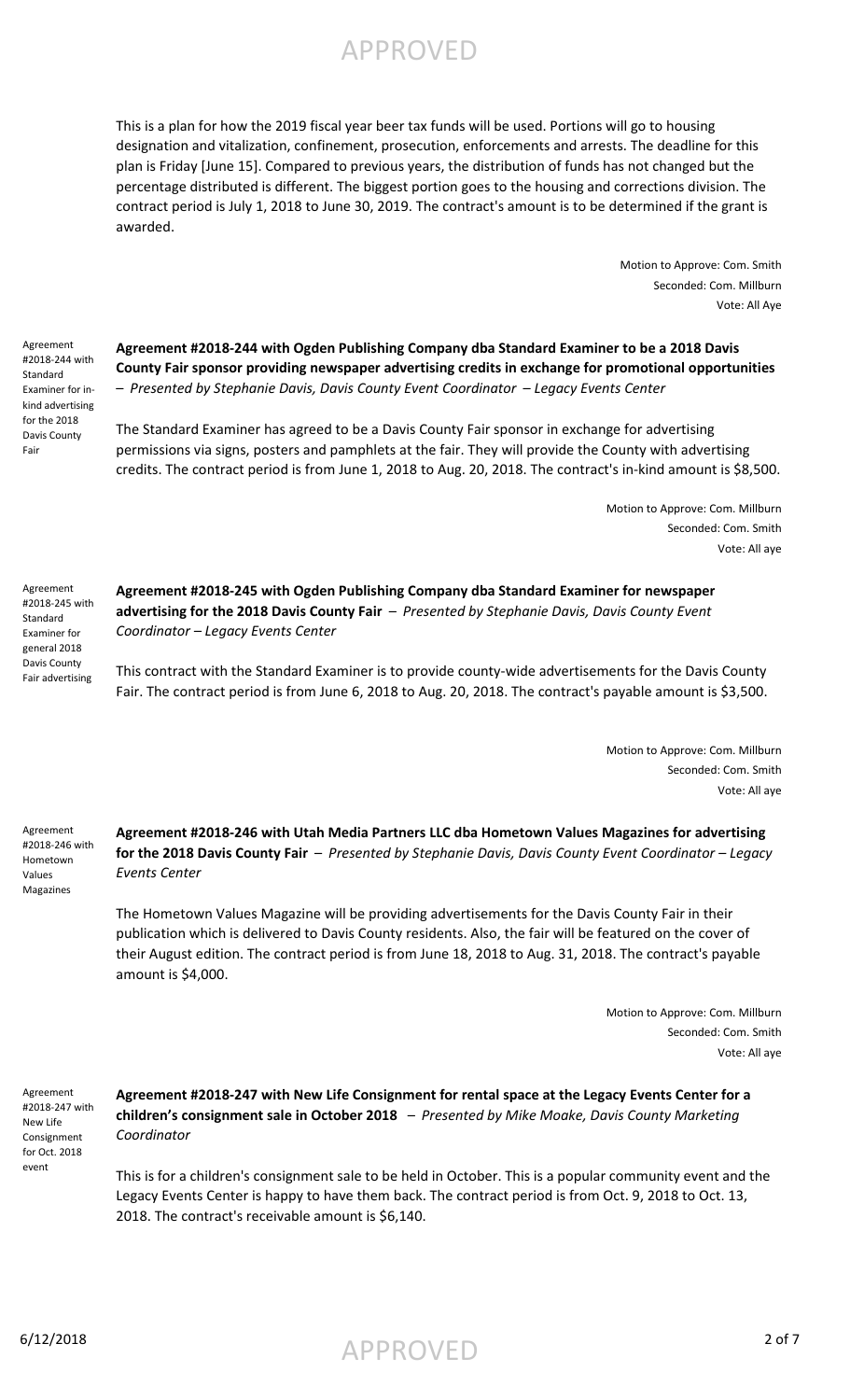APPROVED

This is a plan for how the 2019 fiscal year beer tax funds will be used. Portions will go to housing designation and vitalization, confinement, prosecution, enforcements and arrests. The deadline for this plan is Friday [June 15]. Compared to previous years, the distribution of funds has not changed but the percentage distributed is different. The biggest portion goes to the housing and corrections division. The contract period is July 1, 2018 to June 30, 2019. The contract's amount is to be determined if the grant is awarded.

> Motion to Approve: Com. Smith Seconded: Com. Millburn Vote: All Aye

Agreement #2018-244 with Standard Examiner for inkind advertising for the 2018 Davis County Fair

**Agreement #2018-244 with Ogden Publishing Company dba Standard Examiner to be a 2018 Davis County Fair sponsor providing newspaper advertising credits in exchange for promotional opportunities**  – *Presented by Stephanie Davis, Davis County Event Coordinator* – *Legacy Events Center*

The Standard Examiner has agreed to be a Davis County Fair sponsor in exchange for advertising permissions via signs, posters and pamphlets at the fair. They will provide the County with advertising credits. The contract period is from June 1, 2018 to Aug. 20, 2018. The contract's in-kind amount is \$8,500.

> Motion to Approve: Com. Millburn Seconded: Com. Smith Vote: All aye

Agreement #2018-245 with **Standard** Examiner for general 2018 Davis County Fair advertising

**Agreement #2018-245 with Ogden Publishing Company dba Standard Examiner for newspaper advertising for the 2018 Davis County Fair** – *Presented by Stephanie Davis, Davis County Event Coordinator – Legacy Events Center*

This contract with the Standard Examiner is to provide county-wide advertisements for the Davis County Fair. The contract period is from June 6, 2018 to Aug. 20, 2018. The contract's payable amount is \$3,500.

> Motion to Approve: Com. Millburn Seconded: Com. Smith Vote: All aye

Agreement #2018-246 with Hometown Values Magazines

**Agreement #2018-246 with Utah Media Partners LLC dba Hometown Values Magazines for advertising for the 2018 Davis County Fair** – *Presented by Stephanie Davis, Davis County Event Coordinator – Legacy Events Center*

The Hometown Values Magazine will be providing advertisements for the Davis County Fair in their publication which is delivered to Davis County residents. Also, the fair will be featured on the cover of their August edition. The contract period is from June 18, 2018 to Aug. 31, 2018. The contract's payable amount is \$4,000.

> Motion to Approve: Com. Millburn Seconded: Com. Smith Vote: All aye

Agreement #2018-247 with New Life Consignment for Oct. 2018 event

**Agreement #2018-247 with New Life Consignment for rental space at the Legacy Events Center for a children's consignment sale in October 2018** – *Presented by Mike Moake, Davis County Marketing Coordinator*

This is for a children's consignment sale to be held in October. This is a popular community event and the Legacy Events Center is happy to have them back. The contract period is from Oct. 9, 2018 to Oct. 13, 2018. The contract's receivable amount is \$6,140.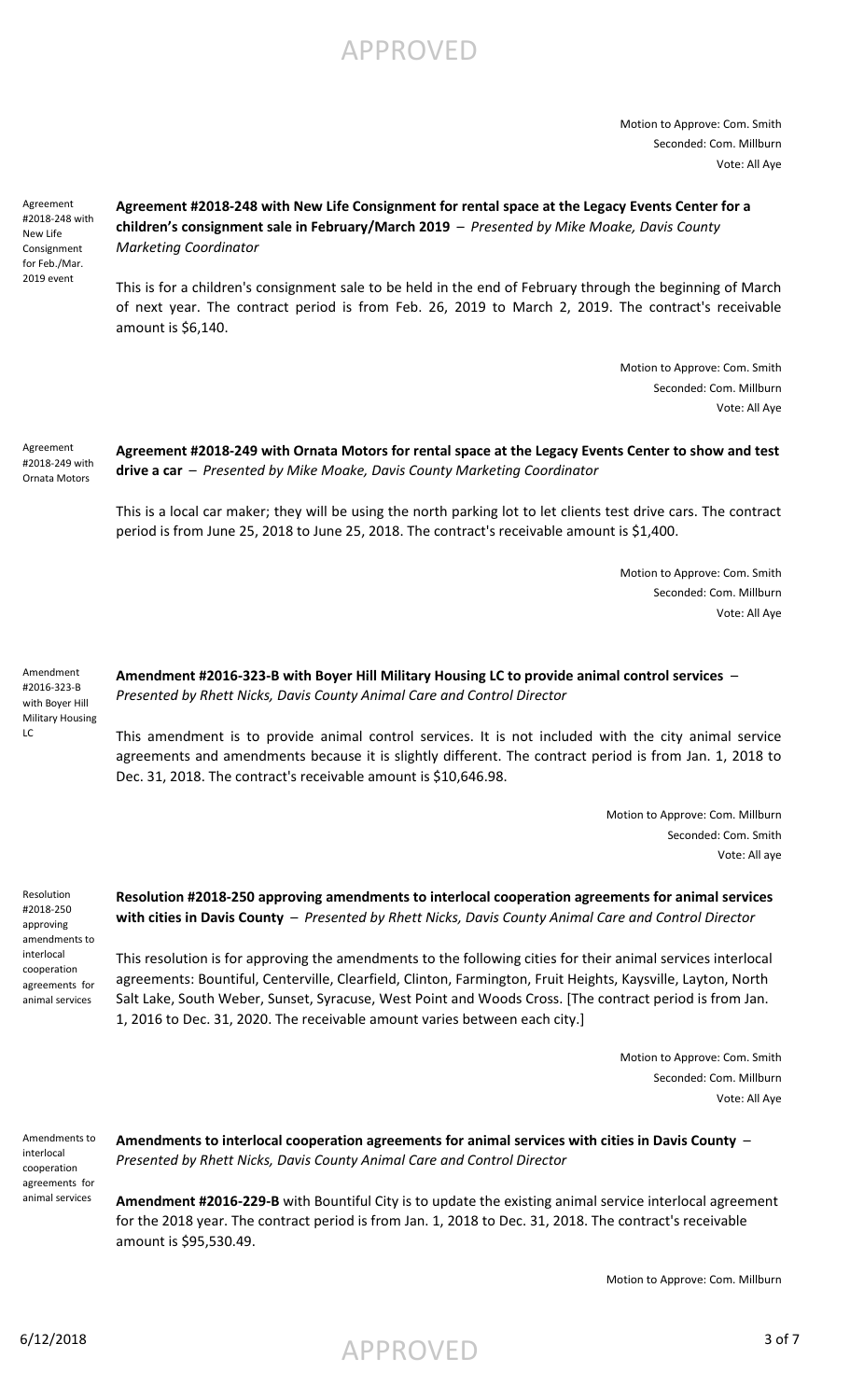# APPROVED

Motion to Approve: Com. Smith Seconded: Com. Millburn Vote: All Aye

Agreement #2018-248 with New Life Consignment for Feb./Mar. 2019 event

## **Agreement #2018-248 with New Life Consignment for rental space at the Legacy Events Center for a children's consignment sale in February/March 2019** – *Presented by Mike Moake, Davis County Marketing Coordinator*

This is for a children's consignment sale to be held in the end of February through the beginning of March of next year. The contract period is from Feb. 26, 2019 to March 2, 2019. The contract's receivable amount is \$6,140.

> Motion to Approve: Com. Smith Seconded: Com. Millburn Vote: All Aye

#### **Agreement #2018-249 with Ornata Motors for rental space at the Legacy Events Center to show and test drive a car** – *Presented by Mike Moake, Davis County Marketing Coordinator* Agreement #2018-249 with Ornata Motors

This is a local car maker; they will be using the north parking lot to let clients test drive cars. The contract period is from June 25, 2018 to June 25, 2018. The contract's receivable amount is \$1,400.

> Motion to Approve: Com. Smith Seconded: Com. Millburn Vote: All Aye

Amendment #2016-323-B with Boyer Hill Military Housing LC

**Amendment #2016-323-B with Boyer Hill Military Housing LC to provide animal control services** – *Presented by Rhett Nicks, Davis County Animal Care and Control Director*

This amendment is to provide animal control services. It is not included with the city animal service agreements and amendments because it is slightly different. The contract period is from Jan. 1, 2018 to Dec. 31, 2018. The contract's receivable amount is \$10,646.98.

> Motion to Approve: Com. Millburn Seconded: Com. Smith Vote: All aye

Resolution #2018-250 approving amendments to interlocal cooperation agreements for animal services

**Resolution #2018-250 approving amendments to interlocal cooperation agreements for animal services with cities in Davis County** – *Presented by Rhett Nicks, Davis County Animal Care and Control Director*

This resolution is for approving the amendments to the following cities for their animal services interlocal agreements: Bountiful, Centerville, Clearfield, Clinton, Farmington, Fruit Heights, Kaysville, Layton, North Salt Lake, South Weber, Sunset, Syracuse, West Point and Woods Cross. [The contract period is from Jan. 1, 2016 to Dec. 31, 2020. The receivable amount varies between each city.]

> Motion to Approve: Com. Smith Seconded: Com. Millburn Vote: All Aye

Amendments to interlocal cooperation agreements for animal services

**Amendments to interlocal cooperation agreements for animal services with cities in Davis County** – *Presented by Rhett Nicks, Davis County Animal Care and Control Director*

**Amendment #2016-229-B** with Bountiful City is to update the existing animal service interlocal agreement for the 2018 year. The contract period is from Jan. 1, 2018 to Dec. 31, 2018. The contract's receivable amount is \$95,530.49.

Motion to Approve: Com. Millburn

6/12/2018  $APPROVED$  3 of 7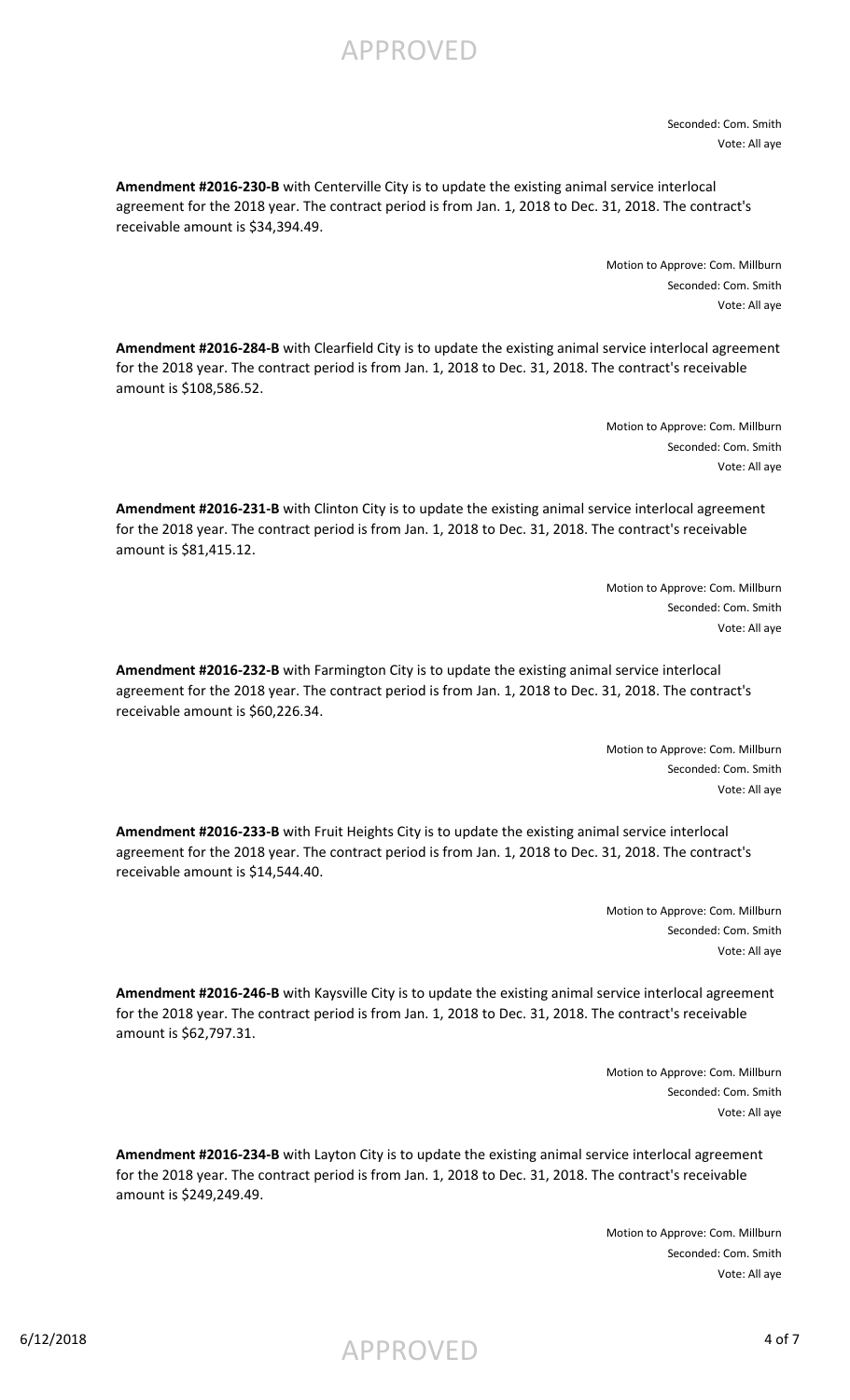APPROVED

Seconded: Com. Smith Vote: All aye

**Amendment #2016-230-B** with Centerville City is to update the existing animal service interlocal agreement for the 2018 year. The contract period is from Jan. 1, 2018 to Dec. 31, 2018. The contract's receivable amount is \$34,394.49.

> Motion to Approve: Com. Millburn Seconded: Com. Smith Vote: All aye

**Amendment #2016-284-B** with Clearfield City is to update the existing animal service interlocal agreement for the 2018 year. The contract period is from Jan. 1, 2018 to Dec. 31, 2018. The contract's receivable amount is \$108,586.52.

> Motion to Approve: Com. Millburn Seconded: Com. Smith Vote: All aye

**Amendment #2016-231-B** with Clinton City is to update the existing animal service interlocal agreement for the 2018 year. The contract period is from Jan. 1, 2018 to Dec. 31, 2018. The contract's receivable amount is \$81,415.12.

> Motion to Approve: Com. Millburn Seconded: Com. Smith Vote: All aye

**Amendment #2016-232-B** with Farmington City is to update the existing animal service interlocal agreement for the 2018 year. The contract period is from Jan. 1, 2018 to Dec. 31, 2018. The contract's receivable amount is \$60,226.34.

> Motion to Approve: Com. Millburn Seconded: Com. Smith Vote: All aye

**Amendment #2016-233-B** with Fruit Heights City is to update the existing animal service interlocal agreement for the 2018 year. The contract period is from Jan. 1, 2018 to Dec. 31, 2018. The contract's receivable amount is \$14,544.40.

> Motion to Approve: Com. Millburn Seconded: Com. Smith Vote: All aye

**Amendment #2016-246-B** with Kaysville City is to update the existing animal service interlocal agreement for the 2018 year. The contract period is from Jan. 1, 2018 to Dec. 31, 2018. The contract's receivable amount is \$62,797.31.

> Motion to Approve: Com. Millburn Seconded: Com. Smith Vote: All aye

**Amendment #2016-234-B** with Layton City is to update the existing animal service interlocal agreement for the 2018 year. The contract period is from Jan. 1, 2018 to Dec. 31, 2018. The contract's receivable amount is \$249,249.49.

> Motion to Approve: Com. Millburn Seconded: Com. Smith Vote: All aye

6/12/2018  $APPROVED$  4 of 7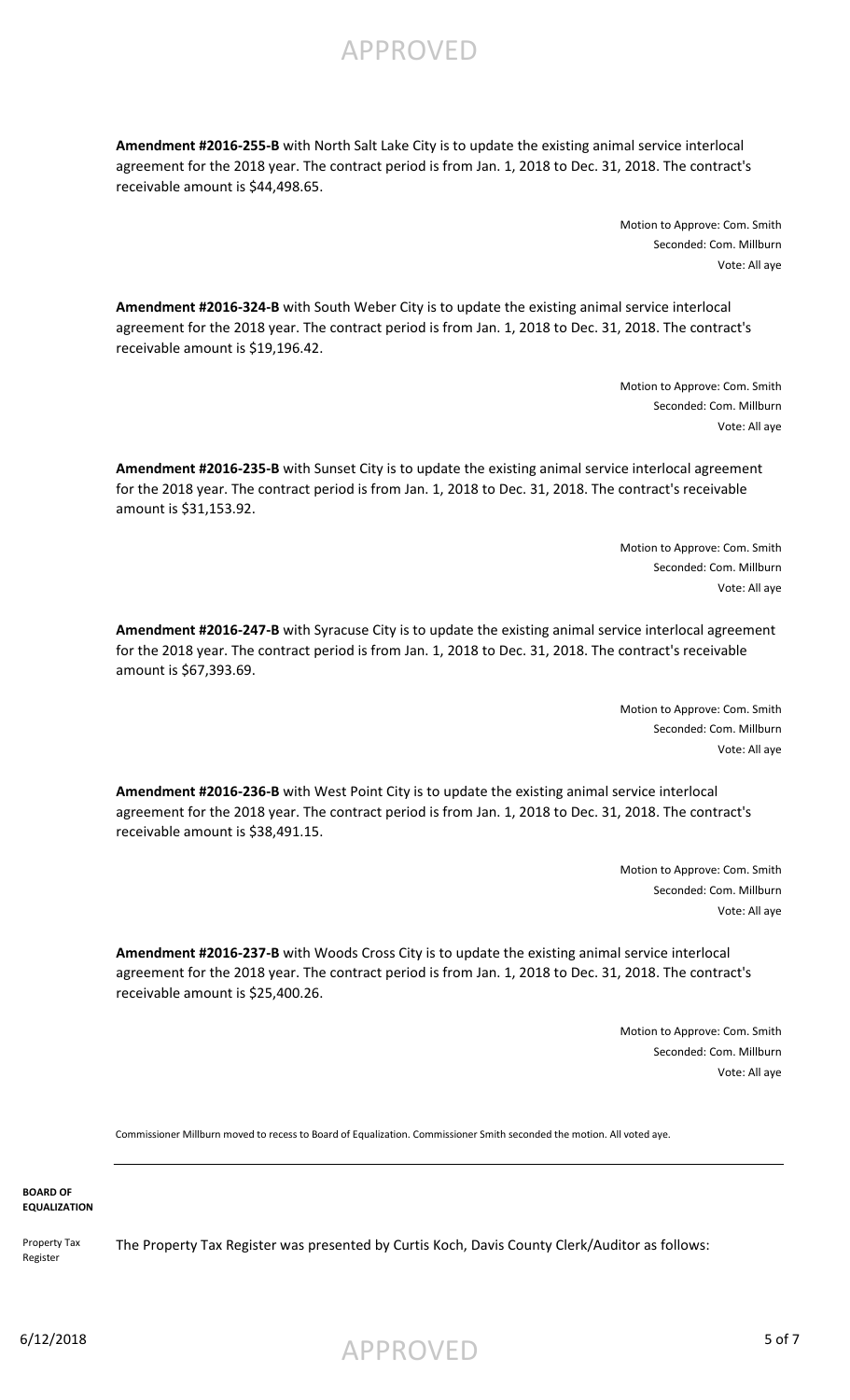APPROVED

**Amendment #2016-255-B** with North Salt Lake City is to update the existing animal service interlocal agreement for the 2018 year. The contract period is from Jan. 1, 2018 to Dec. 31, 2018. The contract's receivable amount is \$44,498.65.

> Motion to Approve: Com. Smith Seconded: Com. Millburn Vote: All aye

**Amendment #2016-324-B** with South Weber City is to update the existing animal service interlocal agreement for the 2018 year. The contract period is from Jan. 1, 2018 to Dec. 31, 2018. The contract's receivable amount is \$19,196.42.

> Motion to Approve: Com. Smith Seconded: Com. Millburn Vote: All aye

**Amendment #2016-235-B** with Sunset City is to update the existing animal service interlocal agreement for the 2018 year. The contract period is from Jan. 1, 2018 to Dec. 31, 2018. The contract's receivable amount is \$31,153.92.

> Motion to Approve: Com. Smith Seconded: Com. Millburn Vote: All aye

**Amendment #2016-247-B** with Syracuse City is to update the existing animal service interlocal agreement for the 2018 year. The contract period is from Jan. 1, 2018 to Dec. 31, 2018. The contract's receivable amount is \$67,393.69.

> Motion to Approve: Com. Smith Seconded: Com. Millburn Vote: All aye

**Amendment #2016-236-B** with West Point City is to update the existing animal service interlocal agreement for the 2018 year. The contract period is from Jan. 1, 2018 to Dec. 31, 2018. The contract's receivable amount is \$38,491.15.

> Motion to Approve: Com. Smith Seconded: Com. Millburn Vote: All aye

**Amendment #2016-237-B** with Woods Cross City is to update the existing animal service interlocal agreement for the 2018 year. The contract period is from Jan. 1, 2018 to Dec. 31, 2018. The contract's receivable amount is \$25,400.26.

> Motion to Approve: Com. Smith Seconded: Com. Millburn Vote: All aye

Commissioner Millburn moved to recess to Board of Equalization. Commissioner Smith seconded the motion. All voted aye.

**BOARD OF EQUALIZATION**

Register

Property Tax The Property Tax Register was presented by Curtis Koch, Davis County Clerk/Auditor as follows:

 $6/12/2018$  5 of 7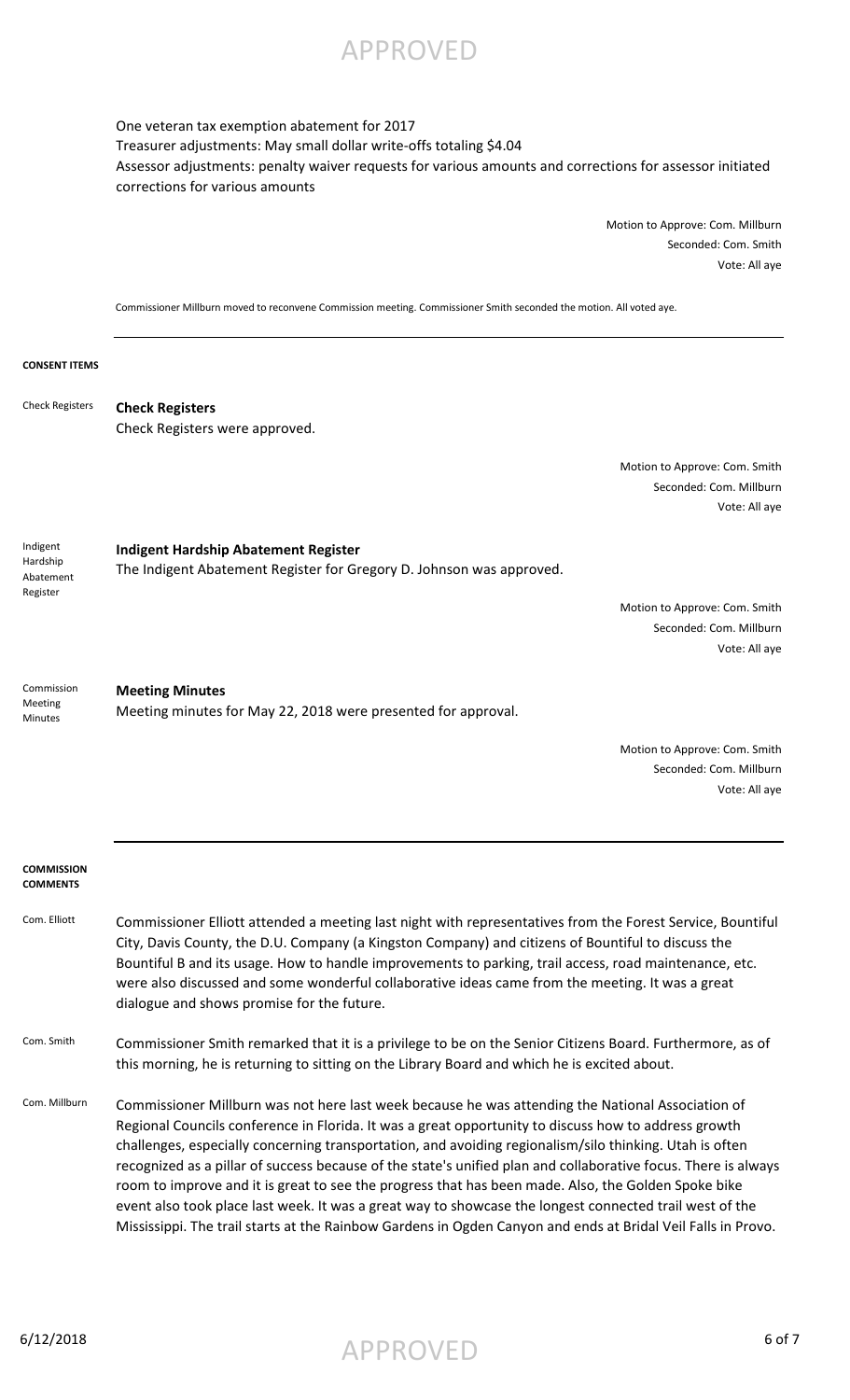APPROVED

One veteran tax exemption abatement for 2017 Treasurer adjustments: May small dollar write-offs totaling \$4.04 Assessor adjustments: penalty waiver requests for various amounts and corrections for assessor initiated corrections for various amounts

> Motion to Approve: Com. Millburn Seconded: Com. Smith Vote: All aye

Commissioner Millburn moved to reconvene Commission meeting. Commissioner Smith seconded the motion. All voted aye.

### **CONSENT ITEMS**

**Check Registers** Check Registers were approved. Check Registers

> Motion to Approve: Com. Smith Seconded: Com. Millburn Vote: All aye

**Indigent Hardship Abatement Register** The Indigent Abatement Register for Gregory D. Johnson was approved. Indigent Hardship Abatement Register

> Motion to Approve: Com. Smith Seconded: Com. Millburn Vote: All aye

**Meeting Minutes** Meeting minutes for May 22, 2018 were presented for approval. Commission Meeting Minutes

> Motion to Approve: Com. Smith Seconded: Com. Millburn Vote: All aye

### **COMMISSION COMMENTS**

- Com. Elliott Commissioner Elliott attended a meeting last night with representatives from the Forest Service, Bountiful City, Davis County, the D.U. Company (a Kingston Company) and citizens of Bountiful to discuss the Bountiful B and its usage. How to handle improvements to parking, trail access, road maintenance, etc. were also discussed and some wonderful collaborative ideas came from the meeting. It was a great dialogue and shows promise for the future.
- Com. Smith Commissioner Smith remarked that it is a privilege to be on the Senior Citizens Board. Furthermore, as of this morning, he is returning to sitting on the Library Board and which he is excited about.
- Com. Millburn Commissioner Millburn was not here last week because he was attending the National Association of Regional Councils conference in Florida. It was a great opportunity to discuss how to address growth challenges, especially concerning transportation, and avoiding regionalism/silo thinking. Utah is often recognized as a pillar of success because of the state's unified plan and collaborative focus. There is always room to improve and it is great to see the progress that has been made. Also, the Golden Spoke bike event also took place last week. It was a great way to showcase the longest connected trail west of the Mississippi. The trail starts at the Rainbow Gardens in Ogden Canyon and ends at Bridal Veil Falls in Provo.